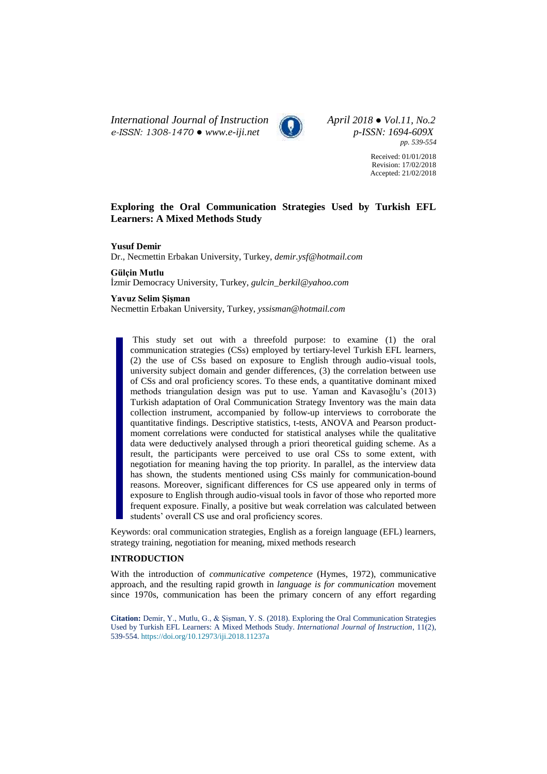*International Journal of Instruction April 2018 ● Vol.11, No.2 e-ISSN: 1308-1470 ● [www.e-iji.net](http://www.e-iji.net/) p-ISSN: 1694-609X*



*pp. 539-554*

Received: 01/01/2018 Revision: 17/02/2018 Accepted: 21/02/2018

# **Exploring the Oral Communication Strategies Used by Turkish EFL Learners: A Mixed Methods Study**

**Yusuf Demir**

Dr., Necmettin Erbakan University, Turkey, *demir.ysf@hotmail.com*

**Gülçin Mutlu** İzmir Democracy University, Turkey, *gulcin\_berkil@yahoo.com*

### **Yavuz Selim Şişman**

Necmettin Erbakan University, Turkey, *yssisman@hotmail.com*

This study set out with a threefold purpose: to examine (1) the oral communication strategies (CSs) employed by tertiary-level Turkish EFL learners, (2) the use of CSs based on exposure to English through audio-visual tools, university subject domain and gender differences, (3) the correlation between use of CSs and oral proficiency scores. To these ends, a quantitative dominant mixed methods triangulation design was put to use. Yaman and Kavasoğlu's (2013) Turkish adaptation of Oral Communication Strategy Inventory was the main data collection instrument, accompanied by follow-up interviews to corroborate the quantitative findings. Descriptive statistics, t-tests, ANOVA and Pearson productmoment correlations were conducted for statistical analyses while the qualitative data were deductively analysed through a priori theoretical guiding scheme. As a result, the participants were perceived to use oral CSs to some extent, with negotiation for meaning having the top priority. In parallel, as the interview data has shown, the students mentioned using CSs mainly for communication-bound reasons. Moreover, significant differences for CS use appeared only in terms of exposure to English through audio-visual tools in favor of those who reported more frequent exposure. Finally, a positive but weak correlation was calculated between students' overall CS use and oral proficiency scores.

Keywords: oral communication strategies, English as a foreign language (EFL) learners, strategy training, negotiation for meaning, mixed methods research

## **INTRODUCTION**

With the introduction of *communicative competence* (Hymes, 1972), communicative approach, and the resulting rapid growth in *language is for communication* movement since 1970s, communication has been the primary concern of any effort regarding

**Citation:** Demir, Y., Mutlu, G., & Şişman, Y. S. (2018). Exploring the Oral Communication Strategies Used by Turkish EFL Learners: A Mixed Methods Study. *International Journal of Instruction*, 11(2), 539-554. <https://doi.org/10.12973/iji.2018.11237a>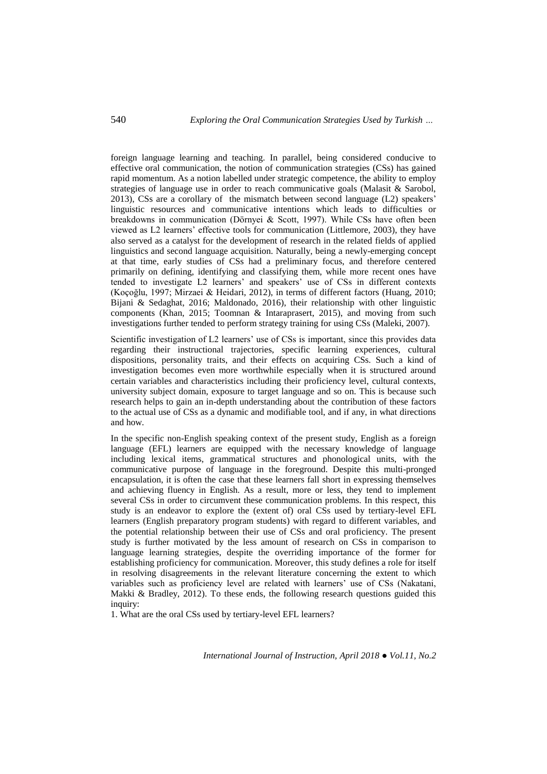foreign language learning and teaching. In parallel, being considered conducive to effective oral communication, the notion of communication strategies (CSs) has gained rapid momentum. As a notion labelled under strategic competence, the ability to employ strategies of language use in order to reach communicative goals (Malasit & Sarobol, 2013), CSs are a corollary of the mismatch between second language (L2) speakers' linguistic resources and communicative intentions which leads to difficulties or breakdowns in communication (Dörnyei & Scott, 1997). While CSs have often been viewed as L2 learners' effective tools for communication (Littlemore, 2003), they have also served as a catalyst for the development of research in the related fields of applied linguistics and second language acquisition. Naturally, being a newly-emerging concept at that time, early studies of CSs had a preliminary focus, and therefore centered primarily on defining, identifying and classifying them, while more recent ones have tended to investigate L2 learners' and speakers' use of CSs in different contexts (Koçoğlu, 1997; Mirzaei & Heidari, 2012), in terms of different factors (Huang, 2010; Bijani & Sedaghat, 2016; Maldonado, 2016), their relationship with other linguistic components (Khan, 2015; Toomnan & Intaraprasert, 2015), and moving from such investigations further tended to perform strategy training for using CSs (Maleki, 2007).

Scientific investigation of L2 learners' use of CSs is important, since this provides data regarding their instructional trajectories, specific learning experiences, cultural dispositions, personality traits, and their effects on acquiring CSs. Such a kind of investigation becomes even more worthwhile especially when it is structured around certain variables and characteristics including their proficiency level, cultural contexts, university subject domain, exposure to target language and so on. This is because such research helps to gain an in-depth understanding about the contribution of these factors to the actual use of CSs as a dynamic and modifiable tool, and if any, in what directions and how.

In the specific non-English speaking context of the present study, English as a foreign language (EFL) learners are equipped with the necessary knowledge of language including lexical items, grammatical structures and phonological units, with the communicative purpose of language in the foreground. Despite this multi-pronged encapsulation, it is often the case that these learners fall short in expressing themselves and achieving fluency in English. As a result, more or less, they tend to implement several CSs in order to circumvent these communication problems. In this respect, this study is an endeavor to explore the (extent of) oral CSs used by tertiary-level EFL learners (English preparatory program students) with regard to different variables, and the potential relationship between their use of CSs and oral proficiency. The present study is further motivated by the less amount of research on CSs in comparison to language learning strategies, despite the overriding importance of the former for establishing proficiency for communication. Moreover, this study defines a role for itself in resolving disagreements in the relevant literature concerning the extent to which variables such as proficiency level are related with learners' use of CSs (Nakatani, Makki & Bradley, 2012). To these ends, the following research questions guided this inquiry:

1. What are the oral CSs used by tertiary-level EFL learners?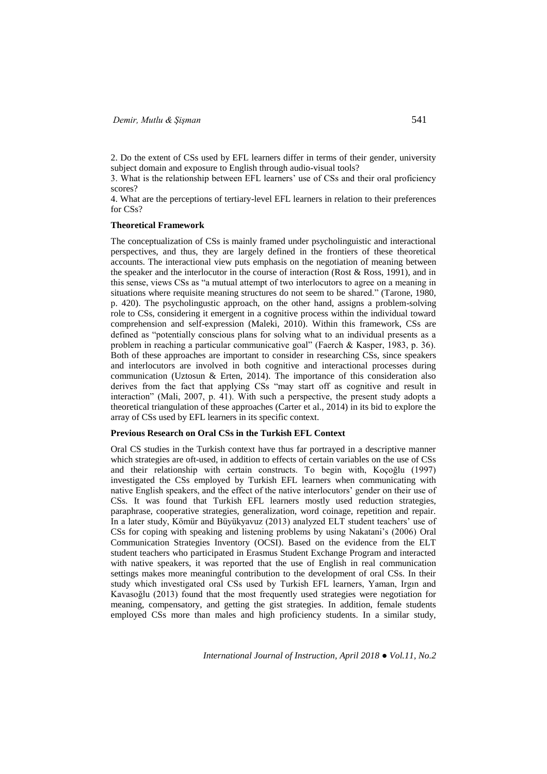2. Do the extent of CSs used by EFL learners differ in terms of their gender, university subject domain and exposure to English through audio-visual tools?

3. What is the relationship between EFL learners' use of CSs and their oral proficiency scores?

4. What are the perceptions of tertiary-level EFL learners in relation to their preferences for CSs?

#### **Theoretical Framework**

The conceptualization of CSs is mainly framed under psycholinguistic and interactional perspectives, and thus, they are largely defined in the frontiers of these theoretical accounts. The interactional view puts emphasis on the negotiation of meaning between the speaker and the interlocutor in the course of interaction (Rost & Ross, 1991), and in this sense, views CSs as "a mutual attempt of two interlocutors to agree on a meaning in situations where requisite meaning structures do not seem to be shared." (Tarone, 1980, p. 420). The psycholingustic approach, on the other hand, assigns a problem-solving role to CSs, considering it emergent in a cognitive process within the individual toward comprehension and self-expression (Maleki, 2010). Within this framework, CSs are defined as "potentially conscious plans for solving what to an individual presents as a problem in reaching a particular communicative goal" (Faerch & Kasper, 1983, p. 36). Both of these approaches are important to consider in researching CSs, since speakers and interlocutors are involved in both cognitive and interactional processes during communication (Uztosun & Erten, 2014). The importance of this consideration also derives from the fact that applying CSs "may start off as cognitive and result in interaction" (Mali, 2007, p. 41). With such a perspective, the present study adopts a theoretical triangulation of these approaches (Carter et al., 2014) in its bid to explore the array of CSs used by EFL learners in its specific context.

#### **Previous Research on Oral CSs in the Turkish EFL Context**

Oral CS studies in the Turkish context have thus far portrayed in a descriptive manner which strategies are oft-used, in addition to effects of certain variables on the use of CSs and their relationship with certain constructs. To begin with, Koçoğlu (1997) investigated the CSs employed by Turkish EFL learners when communicating with native English speakers, and the effect of the native interlocutors' gender on their use of CSs. It was found that Turkish EFL learners mostly used reduction strategies, paraphrase, cooperative strategies, generalization, word coinage, repetition and repair. In a later study, Kömür and Büyükyavuz (2013) analyzed ELT student teachers' use of CSs for coping with speaking and listening problems by using Nakatani's (2006) Oral Communication Strategies Inventory (OCSI). Based on the evidence from the ELT student teachers who participated in Erasmus Student Exchange Program and interacted with native speakers, it was reported that the use of English in real communication settings makes more meaningful contribution to the development of oral CSs. In their study which investigated oral CSs used by Turkish EFL learners, Yaman, Irgın and Kavasoğlu (2013) found that the most frequently used strategies were negotiation for meaning, compensatory, and getting the gist strategies. In addition, female students employed CSs more than males and high proficiency students. In a similar study,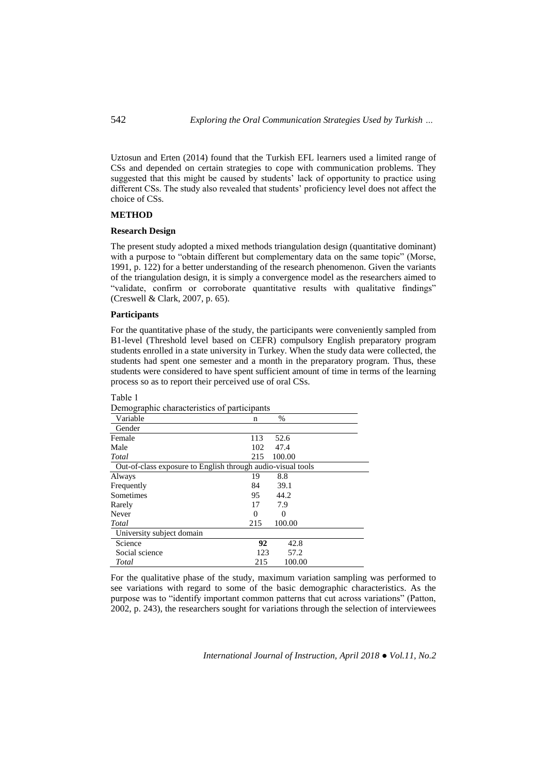542 *Exploring the Oral Communication Strategies Used by Turkish …*

Uztosun and Erten (2014) found that the Turkish EFL learners used a limited range of CSs and depended on certain strategies to cope with communication problems. They suggested that this might be caused by students' lack of opportunity to practice using different CSs. The study also revealed that students' proficiency level does not affect the choice of CSs.

### **METHOD**

### **Research Design**

The present study adopted a mixed methods triangulation design (quantitative dominant) with a purpose to "obtain different but complementary data on the same topic" (Morse, 1991, p. 122) for a better understanding of the research phenomenon. Given the variants of the triangulation design, it is simply a convergence model as the researchers aimed to "validate, confirm or corroborate quantitative results with qualitative findings" (Creswell & Clark, 2007, p. 65).

### **Participants**

Table 1

For the quantitative phase of the study, the participants were conveniently sampled from B1-level (Threshold level based on CEFR) compulsory English preparatory program students enrolled in a state university in Turkey. When the study data were collected, the students had spent one semester and a month in the preparatory program. Thus, these students were considered to have spent sufficient amount of time in terms of the learning process so as to report their perceived use of oral CSs.

| Demographic characteristics of participants                 |     |          |  |  |  |
|-------------------------------------------------------------|-----|----------|--|--|--|
| Variable                                                    | n   | $\%$     |  |  |  |
| Gender                                                      |     |          |  |  |  |
| Female                                                      | 113 | 52.6     |  |  |  |
| Male                                                        | 102 | 47.4     |  |  |  |
| Total                                                       | 215 | 100.00   |  |  |  |
| Out-of-class exposure to English through audio-visual tools |     |          |  |  |  |
| Always                                                      | 19  | 8.8      |  |  |  |
| Frequently                                                  | 84  | 39.1     |  |  |  |
| Sometimes                                                   | 95  | 44.2     |  |  |  |
| Rarely                                                      | 17  | 7.9      |  |  |  |
| Never                                                       | 0   | $\theta$ |  |  |  |
| Total                                                       | 215 | 100.00   |  |  |  |
| University subject domain                                   |     |          |  |  |  |
| Science                                                     | 92  | 42.8     |  |  |  |
| Social science                                              | 123 | 57.2     |  |  |  |
| Total                                                       | 215 | 100.00   |  |  |  |

For the qualitative phase of the study, maximum variation sampling was performed to see variations with regard to some of the basic demographic characteristics. As the purpose was to "identify important common patterns that cut across variations" (Patton,

2002, p. 243), the researchers sought for variations through the selection of interviewees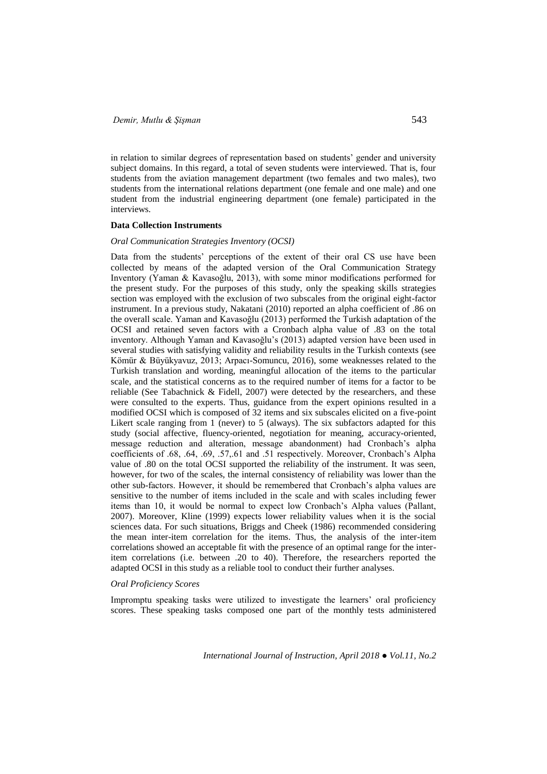in relation to similar degrees of representation based on students' gender and university subject domains. In this regard, a total of seven students were interviewed. That is, four students from the aviation management department (two females and two males), two students from the international relations department (one female and one male) and one student from the industrial engineering department (one female) participated in the interviews.

#### **Data Collection Instruments**

### *Oral Communication Strategies Inventory (OCSI)*

Data from the students' perceptions of the extent of their oral CS use have been collected by means of the adapted version of the Oral Communication Strategy Inventory (Yaman & Kavasoğlu, 2013), with some minor modifications performed for the present study. For the purposes of this study, only the speaking skills strategies section was employed with the exclusion of two subscales from the original eight-factor instrument. In a previous study, Nakatani (2010) reported an alpha coefficient of .86 on the overall scale. Yaman and Kavasoğlu (2013) performed the Turkish adaptation of the OCSI and retained seven factors with a Cronbach alpha value of .83 on the total inventory. Although Yaman and Kavasoğlu's (2013) adapted version have been used in several studies with satisfying validity and reliability results in the Turkish contexts (see Kömür & Büyükyavuz, 2013; Arpacı-Somuncu, 2016), some weaknesses related to the Turkish translation and wording, meaningful allocation of the items to the particular scale, and the statistical concerns as to the required number of items for a factor to be reliable (See Tabachnick & Fidell, 2007) were detected by the researchers, and these were consulted to the experts. Thus, guidance from the expert opinions resulted in a modified OCSI which is composed of 32 items and six subscales elicited on a five-point Likert scale ranging from 1 (never) to 5 (always). The six subfactors adapted for this study (social affective, fluency-oriented, negotiation for meaning, accuracy-oriented, message reduction and alteration, message abandonment) had Cronbach's alpha coefficients of .68, .64, .69, .57,.61 and .51 respectively. Moreover, Cronbach's Alpha value of .80 on the total OCSI supported the reliability of the instrument. It was seen, however, for two of the scales, the internal consistency of reliability was lower than the other sub-factors. However, it should be remembered that Cronbach's alpha values are sensitive to the number of items included in the scale and with scales including fewer items than 10, it would be normal to expect low Cronbach's Alpha values (Pallant, 2007). Moreover, Kline (1999) expects lower reliability values when it is the social sciences data. For such situations, Briggs and Cheek (1986) recommended considering the mean inter-item correlation for the items. Thus, the analysis of the inter-item correlations showed an acceptable fit with the presence of an optimal range for the interitem correlations (i.e. between .20 to 40). Therefore, the researchers reported the adapted OCSI in this study as a reliable tool to conduct their further analyses.

### *Oral Proficiency Scores*

Impromptu speaking tasks were utilized to investigate the learners' oral proficiency scores. These speaking tasks composed one part of the monthly tests administered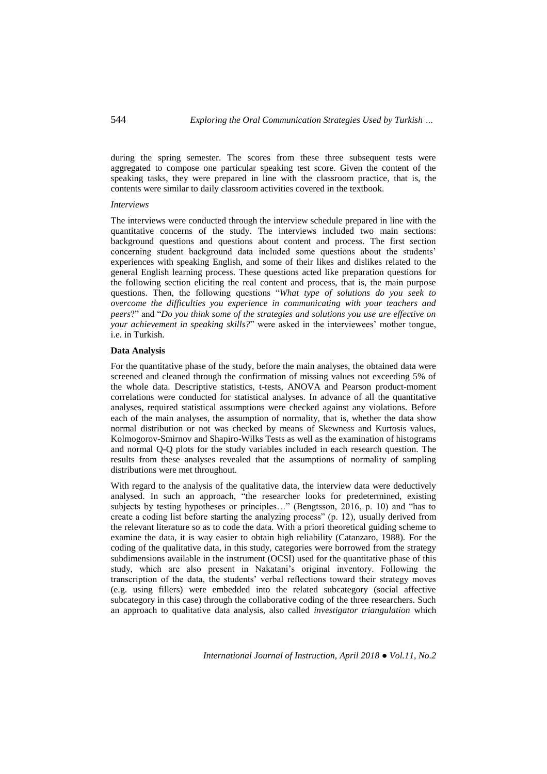during the spring semester. The scores from these three subsequent tests were aggregated to compose one particular speaking test score. Given the content of the speaking tasks, they were prepared in line with the classroom practice, that is, the contents were similar to daily classroom activities covered in the textbook.

#### *Interviews*

The interviews were conducted through the interview schedule prepared in line with the quantitative concerns of the study. The interviews included two main sections: background questions and questions about content and process. The first section concerning student background data included some questions about the students' experiences with speaking English, and some of their likes and dislikes related to the general English learning process. These questions acted like preparation questions for the following section eliciting the real content and process, that is, the main purpose questions. Then, the following questions "*What type of solutions do you seek to overcome the difficulties you experience in communicating with your teachers and peers*?" and "*Do you think some of the strategies and solutions you use are effective on your achievement in speaking skills?*" were asked in the interviewees' mother tongue, i.e. in Turkish.

### **Data Analysis**

For the quantitative phase of the study, before the main analyses, the obtained data were screened and cleaned through the confirmation of missing values not exceeding 5% of the whole data. Descriptive statistics, t-tests, ANOVA and Pearson product-moment correlations were conducted for statistical analyses. In advance of all the quantitative analyses, required statistical assumptions were checked against any violations. Before each of the main analyses, the assumption of normality, that is, whether the data show normal distribution or not was checked by means of Skewness and Kurtosis values, Kolmogorov-Smirnov and Shapiro-Wilks Tests as well as the examination of histograms and normal Q-Q plots for the study variables included in each research question. The results from these analyses revealed that the assumptions of normality of sampling distributions were met throughout.

With regard to the analysis of the qualitative data, the interview data were deductively analysed. In such an approach, "the researcher looks for predetermined, existing subjects by testing hypotheses or principles…" (Bengtsson, 2016, p. 10) and "has to create a coding list before starting the analyzing process" (p. 12), usually derived from the relevant literature so as to code the data. With a priori theoretical guiding scheme to examine the data, it is way easier to obtain high reliability (Catanzaro, 1988). For the coding of the qualitative data, in this study, categories were borrowed from the strategy subdimensions available in the instrument (OCSI) used for the quantitative phase of this study, which are also present in Nakatani's original inventory. Following the transcription of the data, the students' verbal reflections toward their strategy moves (e.g. using fillers) were embedded into the related subcategory (social affective subcategory in this case) through the collaborative coding of the three researchers. Such an approach to qualitative data analysis, also called *investigator triangulation* which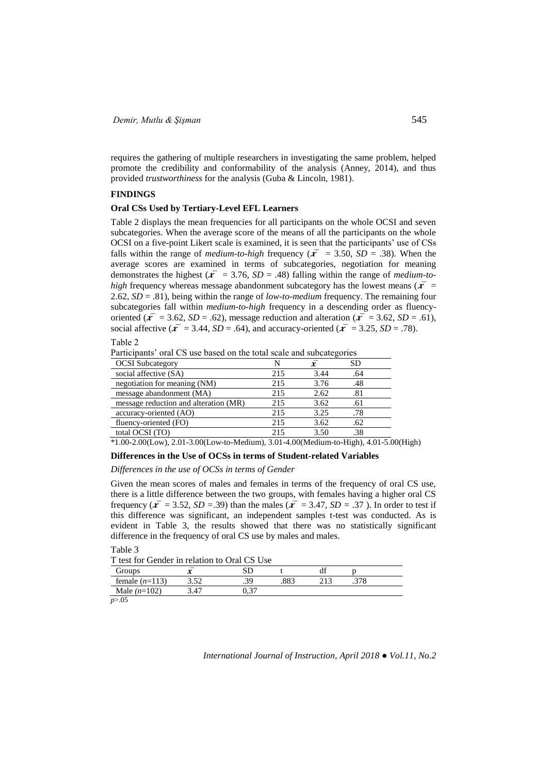requires the gathering of multiple researchers in investigating the same problem, helped promote the credibility and conformability of the analysis (Anney, 2014), and thus provided *trustworthiness* for the analysis (Guba & Lincoln, 1981).

## **FINDINGS**

## **Oral CSs Used by Tertiary-Level EFL Learners**

Table 2 displays the mean frequencies for all participants on the whole OCSI and seven subcategories. When the average score of the means of all the participants on the whole OCSI on a five-point Likert scale is examined, it is seen that the participants' use of CSs falls within the range of *medium-to-high* frequency ( $\bar{x}$  = 3.50, *SD* = .38). When the average scores are examined in terms of subcategories, negotiation for meaning demonstrates the highest ( $\bar{r}$  = 3.76, *SD* = .48) falling within the range of *medium-tohigh* frequency whereas message abandonment subcategory has the lowest means ( $\bar{r}$  = 2.62, *SD* = .81), being within the range of *low-to-medium* frequency. The remaining four subcategories fall within *medium-to-high* frequency in a descending order as fluencyoriented  $(\bar{x} = 3.62, SD = .62)$ , message reduction and alteration  $(\bar{x} = 3.62, SD = .61)$ , social affective ( $\bar{x}$  = 3.44, *SD* = .64), and accuracy-oriented ( $\bar{x}$  = 3.25, *SD* = .78).

Table 2

Participants' oral CS use based on the total scale and subcategories

| <b>OCSI</b> Subcategory               | N   | x    | SD  |  |
|---------------------------------------|-----|------|-----|--|
| social affective (SA)                 | 215 | 3.44 | .64 |  |
| negotiation for meaning (NM)          | 215 | 3.76 | .48 |  |
| message abandonment (MA)              | 215 | 2.62 | .81 |  |
| message reduction and alteration (MR) | 215 | 3.62 | .61 |  |
| accuracy-oriented (AO)                | 215 | 3.25 | .78 |  |
| fluency-oriented (FO)                 | 215 | 3.62 | .62 |  |
| total OCSI (TO)                       | 215 | 3.50 | 38  |  |

\*1.00-2.00(Low), 2.01-3.00(Low-to-Medium), 3.01-4.00(Medium-to-High), 4.01-5.00(High)

#### **Differences in the Use of OCSs in terms of Student-related Variables**

### *Differences in the use of OCSs in terms of Gender*

Given the mean scores of males and females in terms of the frequency of oral CS use, there is a little difference between the two groups, with females having a higher oral CS frequency ( $\bar{x}$  = 3.52, *SD* = .39) than the males ( $\bar{x}$  = 3.47, *SD* = .37). In order to test if this difference was significant, an independent samples t-test was conducted. As is evident in Table 3, the results showed that there was no statistically significant difference in the frequency of oral CS use by males and males.

Table 3

T test for Gender in relation to Oral CS Use

| Groups           | $\overline{\phantom{a}}$<br>∼ |         |     | $\mathbf{r}$<br>αı |     |  |
|------------------|-------------------------------|---------|-----|--------------------|-----|--|
| female $(n=113)$ | າ ເາ<br>ے                     | $\cdot$ | 002 | າ 1 2              | 378 |  |
| Male $(n=102)$   | 3.47                          | ັບ      |     |                    |     |  |
|                  |                               |         |     |                    |     |  |

*p*>.05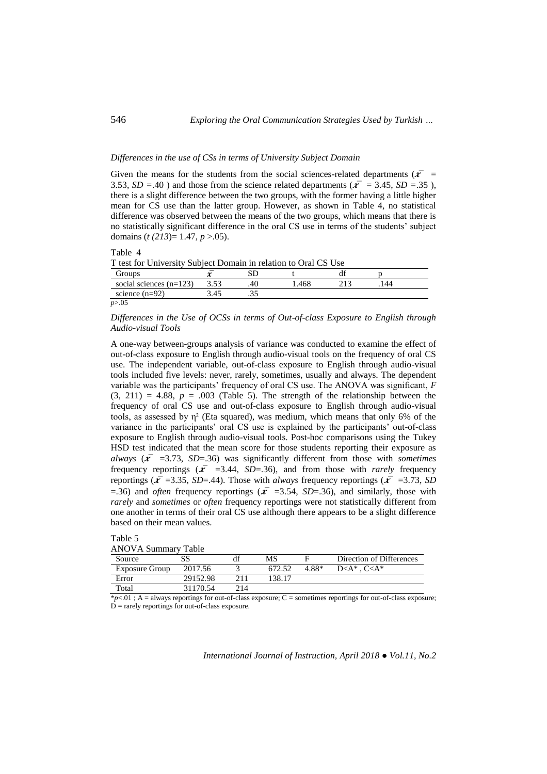### *Differences in the use of CSs in terms of University Subject Domain*

Given the means for the students from the social sciences-related departments ( $\bar{x}$  = 3.53, *SD* = .40 ) and those from the science related departments ( $\bar{x}$  = 3.45, *SD* = .35 ), there is a slight difference between the two groups, with the former having a little higher mean for CS use than the latter group. However, as shown in Table 4, no statistical difference was observed between the means of the two groups, which means that there is no statistically significant difference in the oral CS use in terms of the students' subject domains (*t (213*)= 1.47, *p* >.05).

Table 4

T test for University Subject Domain in relation to Oral CS Use

| Groups                    |     |      | uı |     |  |
|---------------------------|-----|------|----|-----|--|
| social sciences $(n=123)$ | 40  | .468 |    | 44ء |  |
| science $(n=92)$          | ت ب |      |    |     |  |
| p > 0.05                  |     |      |    |     |  |

## *Differences in the Use of OCSs in terms of Out-of-class Exposure to English through Audio-visual Tools*

A one-way between-groups analysis of variance was conducted to examine the effect of out-of-class exposure to English through audio-visual tools on the frequency of oral CS use. The independent variable, out-of-class exposure to English through audio-visual tools included five levels: never, rarely, sometimes, usually and always. The dependent variable was the participants' frequency of oral CS use. The ANOVA was significant, *F*   $(3, 211) = 4.88$ ,  $p = .003$  (Table 5). The strength of the relationship between the frequency of oral CS use and out-of-class exposure to English through audio-visual tools, as assessed by  $\eta^2$  (Eta squared), was medium, which means that only 6% of the variance in the participants' oral CS use is explained by the participants' out-of-class exposure to English through audio-visual tools. Post-hoc comparisons using the Tukey HSD test indicated that the mean score for those students reporting their exposure as *always* ( $\overline{x}$  =3.73, *SD*=.36) was significantly different from those with *sometimes* frequency reportings  $(\bar{x} = 3.44, SD = 36)$ , and from those with *rarely* frequency reportings ( $\bar{x}$  =3.35, *SD*=.44). Those with *always* frequency reportings ( $\bar{x}$  =3.73, *SD*  $=$ .36) and *often* frequency reportings ( $\bar{x}$  =3.54, *SD*=.36), and similarly, those with *rarely* and *sometimes* or *often* frequency reportings were not statistically different from one another in terms of their oral CS use although there appears to be a slight difference based on their mean values.

Table 5 ANOVA Summary Table

| $1.11107$ $1.1.1$ Duminium    | 1. uviv                                   |     |        |       |                                           |
|-------------------------------|-------------------------------------------|-----|--------|-------|-------------------------------------------|
| Source                        | درد                                       | uі  | MS     |       | Direction of Differences                  |
| <b>Exposure Group</b>         | 2017.56                                   |     | 672.52 | 4.88* | $D < A^*$ . $C < A^*$                     |
| Error                         | 29152.98                                  |     | 138.17 |       |                                           |
| Total                         | 31170.54                                  | 214 |        |       |                                           |
| $\mathbf{a}$ and $\mathbf{a}$ | $\sim$ $\sim$ $\sim$ $\sim$ $\sim$ $\sim$ |     | $\sim$ |       | $\sim$ $\sim$ $\sim$ $\sim$ $\sim$ $\sim$ |

\**p*<.01 ; A = always reportings for out-of-class exposure; C = sometimes reportings for out-of-class exposure;  $D$  = rarely reportings for out-of-class exposure.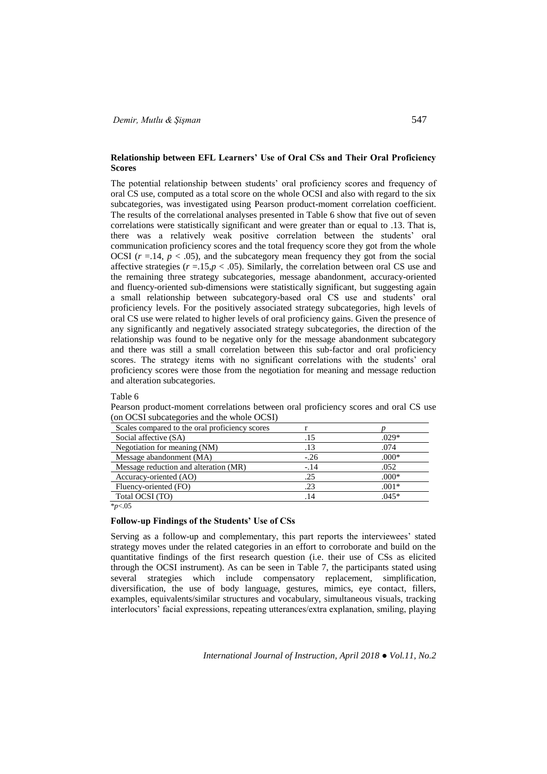## **Relationship between EFL Learners' Use of Oral CSs and Their Oral Proficiency Scores**

The potential relationship between students' oral proficiency scores and frequency of oral CS use, computed as a total score on the whole OCSI and also with regard to the six subcategories, was investigated using Pearson product-moment correlation coefficient. The results of the correlational analyses presented in Table 6 show that five out of seven correlations were statistically significant and were greater than or equal to .13. That is, there was a relatively weak positive correlation between the students' oral communication proficiency scores and the total frequency score they got from the whole OCSI  $(r = .14, p < .05)$ , and the subcategory mean frequency they got from the social affective strategies ( $r = 0.15$ ,  $p < 0.05$ ). Similarly, the correlation between oral CS use and the remaining three strategy subcategories, message abandonment, accuracy-oriented and fluency-oriented sub-dimensions were statistically significant, but suggesting again a small relationship between subcategory-based oral CS use and students' oral proficiency levels. For the positively associated strategy subcategories, high levels of oral CS use were related to higher levels of oral proficiency gains. Given the presence of any significantly and negatively associated strategy subcategories, the direction of the relationship was found to be negative only for the message abandonment subcategory and there was still a small correlation between this sub-factor and oral proficiency scores. The strategy items with no significant correlations with the students' oral proficiency scores were those from the negotiation for meaning and message reduction and alteration subcategories.

#### Table 6

Pearson product-moment correlations between oral proficiency scores and oral CS use (on OCSI subcategories and the whole OCSI)

| Scales compared to the oral proficiency scores |        |         |
|------------------------------------------------|--------|---------|
| Social affective (SA)                          | .15    | $.029*$ |
| Negotiation for meaning (NM)                   | .13    | .074    |
| Message abandonment (MA)                       | $-.26$ | $.000*$ |
| Message reduction and alteration (MR)          | $-14$  | .052    |
| Accuracy-oriented (AO)                         | .25    | $.000*$ |
| Fluency-oriented (FO)                          | .23    | $.001*$ |
| Total OCSI (TO)                                | .14    | $.045*$ |

\**p*<.05

#### **Follow-up Findings of the Students' Use of CSs**

Serving as a follow-up and complementary, this part reports the interviewees' stated strategy moves under the related categories in an effort to corroborate and build on the quantitative findings of the first research question (i.e. their use of CSs as elicited through the OCSI instrument). As can be seen in Table 7, the participants stated using several strategies which include compensatory replacement, simplification, diversification, the use of body language, gestures, mimics, eye contact, fillers, examples, equivalents/similar structures and vocabulary, simultaneous visuals, tracking interlocutors' facial expressions, repeating utterances/extra explanation, smiling, playing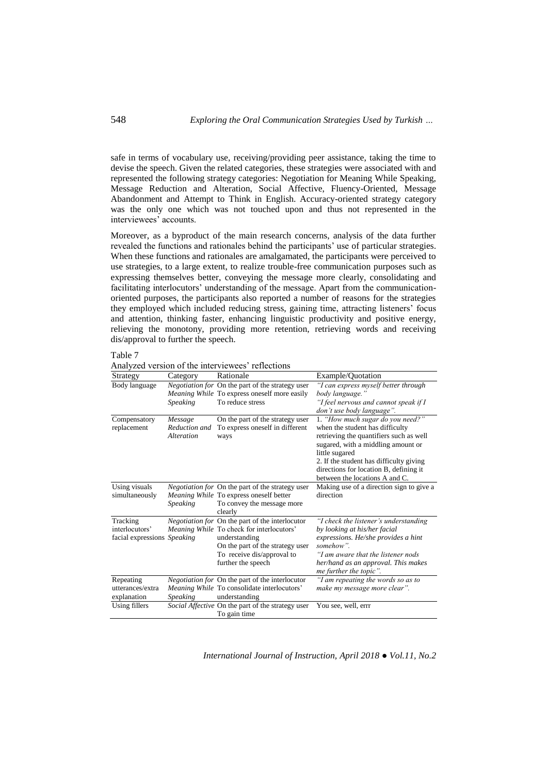safe in terms of vocabulary use, receiving/providing peer assistance, taking the time to devise the speech. Given the related categories, these strategies were associated with and represented the following strategy categories: Negotiation for Meaning While Speaking, Message Reduction and Alteration, Social Affective, Fluency-Oriented, Message Abandonment and Attempt to Think in English. Accuracy-oriented strategy category was the only one which was not touched upon and thus not represented in the interviewees' accounts.

Moreover, as a byproduct of the main research concerns, analysis of the data further revealed the functions and rationales behind the participants' use of particular strategies. When these functions and rationales are amalgamated, the participants were perceived to use strategies, to a large extent, to realize trouble-free communication purposes such as expressing themselves better, conveying the message more clearly, consolidating and facilitating interlocutors' understanding of the message. Apart from the communicationoriented purposes, the participants also reported a number of reasons for the strategies they employed which included reducing stress, gaining time, attracting listeners' focus and attention, thinking faster, enhancing linguistic productivity and positive energy, relieving the monotony, providing more retention, retrieving words and receiving dis/approval to further the speech.

Table 7

Analyzed version of the interviewees' reflections

| Strategy                                                  | Category                               | Rationale                                                                                                                                                                                             | Example/Quotation                                                                                                                                                                                                                                                                             |
|-----------------------------------------------------------|----------------------------------------|-------------------------------------------------------------------------------------------------------------------------------------------------------------------------------------------------------|-----------------------------------------------------------------------------------------------------------------------------------------------------------------------------------------------------------------------------------------------------------------------------------------------|
| Body language                                             | <b>Speaking</b>                        | <i>Negotiation for</i> On the part of the strategy user<br>Meaning While To express oneself more easily<br>To reduce stress                                                                           | "I can express myself better through<br>body language."<br>"I feel nervous and cannot speak if I<br>don't use body language".                                                                                                                                                                 |
| Compensatory<br>replacement                               | Message<br>Reduction and<br>Alteration | On the part of the strategy user<br>To express oneself in different<br>ways                                                                                                                           | 1. "How much sugar do you need?"<br>when the student has difficulty<br>retrieving the quantifiers such as well<br>sugared, with a middling amount or<br>little sugared<br>2. If the student has difficulty giving<br>directions for location B, defining it<br>between the locations A and C. |
| Using visuals<br>simultaneously                           | <b>Speaking</b>                        | <i>Negotiation for</i> On the part of the strategy user<br>Meaning While To express oneself better<br>To convey the message more<br>clearly                                                           | Making use of a direction sign to give a<br>direction                                                                                                                                                                                                                                         |
| Tracking<br>interlocutors'<br>facial expressions Speaking |                                        | Negotiation for On the part of the interlocutor<br>Meaning While To check for interlocutors'<br>understanding<br>On the part of the strategy user<br>To receive dis/approval to<br>further the speech | "I check the listener's understanding<br>by looking at his/her facial<br>expressions. He/she provides a hint<br>somehow".<br>"I am aware that the listener nods<br>her/hand as an approval. This makes<br>me further the topic".                                                              |
| Repeating<br>utterances/extra<br>explanation              | <i>Speaking</i>                        | <i>Negotiation for</i> On the part of the interlocutor<br>Meaning While To consolidate interlocutors'<br>understanding                                                                                | "I am repeating the words so as to<br>make my message more clear".                                                                                                                                                                                                                            |
| Using fillers                                             |                                        | Social Affective On the part of the strategy user<br>To gain time                                                                                                                                     | You see, well, errr                                                                                                                                                                                                                                                                           |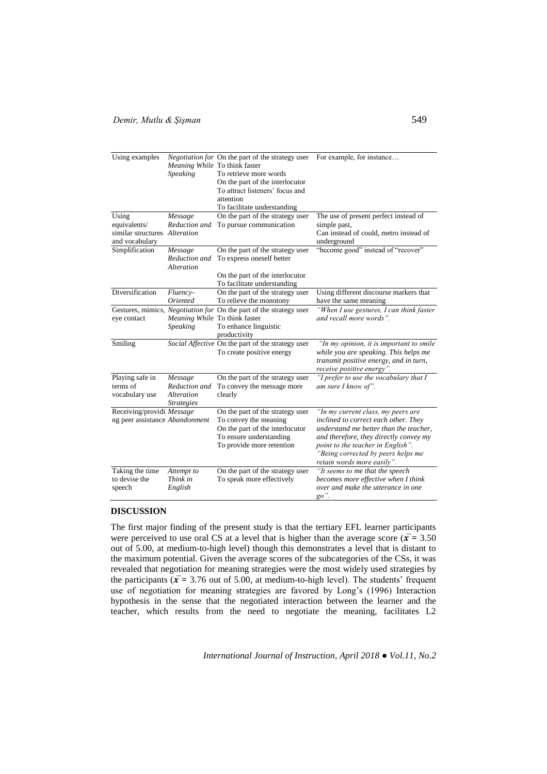# *Demir, Mutlu & Şişman* 549

| Using examples                 | Meaning While To think faster<br>Speaking | Negotiation for On the part of the strategy user For example, for instance<br>To retrieve more words<br>On the part of the interlocutor<br>To attract listeners' focus and<br>attention<br>To facilitate understanding |                                                                                                                                                                                                                                   |
|--------------------------------|-------------------------------------------|------------------------------------------------------------------------------------------------------------------------------------------------------------------------------------------------------------------------|-----------------------------------------------------------------------------------------------------------------------------------------------------------------------------------------------------------------------------------|
| Using                          | Message                                   | On the part of the strategy user                                                                                                                                                                                       | The use of present perfect instead of                                                                                                                                                                                             |
| equivalents/                   | Reduction and                             | To pursue communication                                                                                                                                                                                                | simple past,                                                                                                                                                                                                                      |
| similar structures Alteration  |                                           |                                                                                                                                                                                                                        | Can instead of could, metro instead of                                                                                                                                                                                            |
| and vocabulary                 |                                           |                                                                                                                                                                                                                        | underground                                                                                                                                                                                                                       |
| Simplification                 | Message                                   | On the part of the strategy user                                                                                                                                                                                       | "become good" instead of "recover"                                                                                                                                                                                                |
|                                | Reduction and<br>Alteration               | To express oneself better                                                                                                                                                                                              |                                                                                                                                                                                                                                   |
|                                |                                           | On the part of the interlocutor                                                                                                                                                                                        |                                                                                                                                                                                                                                   |
|                                |                                           | To facilitate understanding                                                                                                                                                                                            |                                                                                                                                                                                                                                   |
| Diversification                | Fluency-                                  | On the part of the strategy user                                                                                                                                                                                       | Using different discourse markers that                                                                                                                                                                                            |
|                                | <b>Oriented</b>                           | To relieve the monotony                                                                                                                                                                                                | have the same meaning                                                                                                                                                                                                             |
|                                |                                           | Gestures, mimics, Negotiation for On the part of the strategy user                                                                                                                                                     | "When I use gestures, I can think faster                                                                                                                                                                                          |
| eye contact                    | Meaning While To think faster             |                                                                                                                                                                                                                        | and recall more words".                                                                                                                                                                                                           |
|                                | <b>Speaking</b>                           | To enhance linguistic<br>productivity                                                                                                                                                                                  |                                                                                                                                                                                                                                   |
| Smiling                        |                                           | Social Affective On the part of the strategy user<br>To create positive energy                                                                                                                                         | "In my opinion, it is important to smile<br>while you are speaking. This helps me<br>transmit positive energy, and in turn,<br>receive positive energy".                                                                          |
| Playing safe in                | Message                                   | On the part of the strategy user                                                                                                                                                                                       | "I prefer to use the vocabulary that I                                                                                                                                                                                            |
| terms of                       | Reduction and                             | To convey the message more                                                                                                                                                                                             | am sure I know of".                                                                                                                                                                                                               |
| vocabulary use                 | Alteration                                | clearly                                                                                                                                                                                                                |                                                                                                                                                                                                                                   |
|                                | <b>Strategies</b>                         |                                                                                                                                                                                                                        |                                                                                                                                                                                                                                   |
| Receiving/providi Message      |                                           | On the part of the strategy user                                                                                                                                                                                       | "In my current class, my peers are                                                                                                                                                                                                |
| ng peer assistance Abandonment |                                           | To convey the meaning<br>On the part of the interlocutor<br>To ensure understanding<br>To provide more retention                                                                                                       | inclined to correct each other. They<br>understand me better than the teacher.<br>and therefore, they directly convey my<br>point to the teacher in English".<br>"Being corrected by peers helps me<br>retain words more easily". |
| Taking the time                | Attempt to                                | On the part of the strategy user                                                                                                                                                                                       | "It seems to me that the speech                                                                                                                                                                                                   |
| to devise the                  | Think in                                  | To speak more effectively                                                                                                                                                                                              | becomes more effective when I think                                                                                                                                                                                               |
| speech                         | English                                   |                                                                                                                                                                                                                        | over and make the utterance in one<br>$go$ ".                                                                                                                                                                                     |

### **DISCUSSION**

The first major finding of the present study is that the tertiary EFL learner participants were perceived to use oral CS at a level that is higher than the average score ( $\bar{x}$  = 3.50) out of 5.00, at medium-to-high level) though this demonstrates a level that is distant to the maximum potential. Given the average scores of the subcategories of the CSs, it was revealed that negotiation for meaning strategies were the most widely used strategies by the participants ( $\bar{x}$  = 3.76 out of 5.00, at medium-to-high level). The students' frequent use of negotiation for meaning strategies are favored by Long's (1996) Interaction hypothesis in the sense that the negotiated interaction between the learner and the teacher, which results from the need to negotiate the meaning, facilitates L2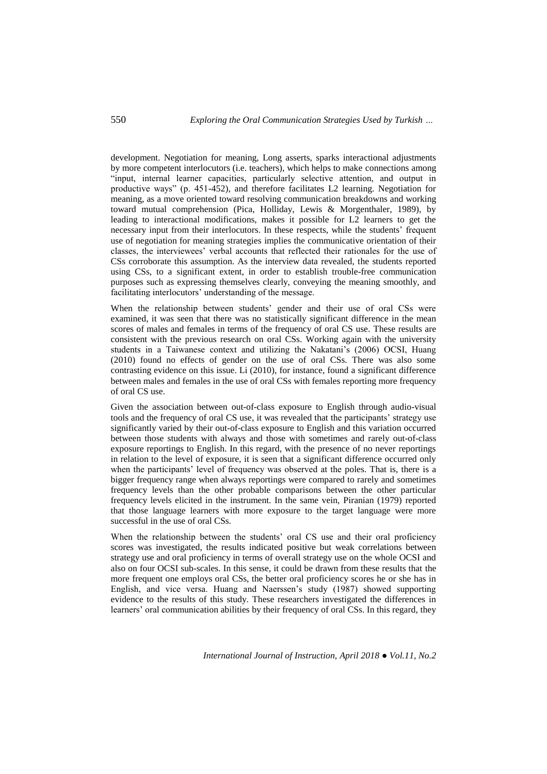development. Negotiation for meaning, Long asserts, sparks interactional adjustments by more competent interlocutors (i.e. teachers), which helps to make connections among "input, internal learner capacities, particularly selective attention, and output in productive ways" (p. 451-452), and therefore facilitates L2 learning. Negotiation for meaning, as a move oriented toward resolving communication breakdowns and working toward mutual comprehension (Pica, Holliday, Lewis & Morgenthaler, 1989), by leading to interactional modifications, makes it possible for L2 learners to get the necessary input from their interlocutors. In these respects, while the students' frequent use of negotiation for meaning strategies implies the communicative orientation of their classes, the interviewees' verbal accounts that reflected their rationales for the use of CSs corroborate this assumption. As the interview data revealed, the students reported using CSs, to a significant extent, in order to establish trouble-free communication purposes such as expressing themselves clearly, conveying the meaning smoothly, and facilitating interlocutors' understanding of the message.

When the relationship between students' gender and their use of oral CSs were examined, it was seen that there was no statistically significant difference in the mean scores of males and females in terms of the frequency of oral CS use. These results are consistent with the previous research on oral CSs. Working again with the university students in a Taiwanese context and utilizing the Nakatani's (2006) OCSI, Huang (2010) found no effects of gender on the use of oral CSs. There was also some contrasting evidence on this issue. Li (2010), for instance, found a significant difference between males and females in the use of oral CSs with females reporting more frequency of oral CS use.

Given the association between out-of-class exposure to English through audio-visual tools and the frequency of oral CS use, it was revealed that the participants' strategy use significantly varied by their out-of-class exposure to English and this variation occurred between those students with always and those with sometimes and rarely out-of-class exposure reportings to English. In this regard, with the presence of no never reportings in relation to the level of exposure, it is seen that a significant difference occurred only when the participants' level of frequency was observed at the poles. That is, there is a bigger frequency range when always reportings were compared to rarely and sometimes frequency levels than the other probable comparisons between the other particular frequency levels elicited in the instrument. In the same vein, Piranian (1979) reported that those language learners with more exposure to the target language were more successful in the use of oral CSs.

When the relationship between the students' oral CS use and their oral proficiency scores was investigated, the results indicated positive but weak correlations between strategy use and oral proficiency in terms of overall strategy use on the whole OCSI and also on four OCSI sub-scales. In this sense, it could be drawn from these results that the more frequent one employs oral CSs, the better oral proficiency scores he or she has in English, and vice versa. Huang and Naerssen's study (1987) showed supporting evidence to the results of this study. These researchers investigated the differences in learners' oral communication abilities by their frequency of oral CSs. In this regard, they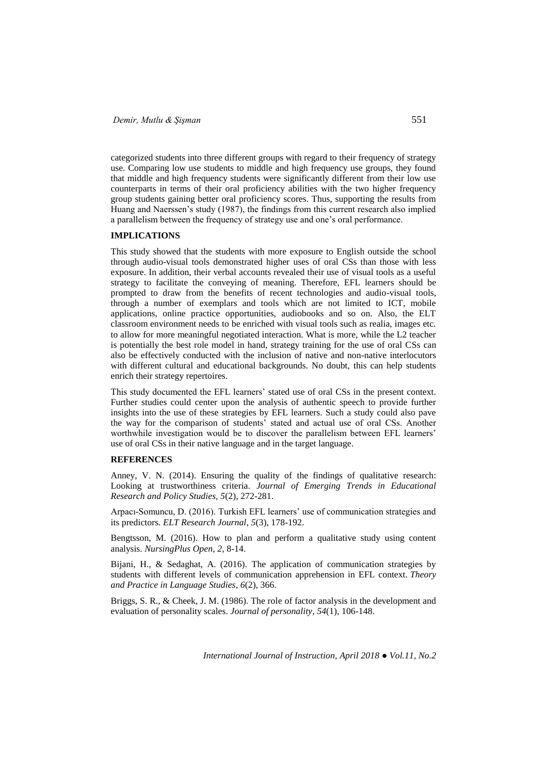categorized students into three different groups with regard to their frequency of strategy use. Comparing low use students to middle and high frequency use groups, they found that middle and high frequency students were significantly different from their low use counterparts in terms of their oral proficiency abilities with the two higher frequency group students gaining better oral proficiency scores. Thus, supporting the results from Huang and Naerssen's study (1987), the findings from this current research also implied a parallelism between the frequency of strategy use and one's oral performance.

### **IMPLICATIONS**

This study showed that the students with more exposure to English outside the school through audio-visual tools demonstrated higher uses of oral CSs than those with less exposure. In addition, their verbal accounts revealed their use of visual tools as a useful strategy to facilitate the conveying of meaning. Therefore, EFL learners should be prompted to draw from the benefits of recent technologies and audio-visual tools, through a number of exemplars and tools which are not limited to ICT, mobile applications, online practice opportunities, audiobooks and so on. Also, the ELT classroom environment needs to be enriched with visual tools such as realia, images etc. to allow for more meaningful negotiated interaction. What is more, while the L2 teacher is potentially the best role model in hand, strategy training for the use of oral CSs can also be effectively conducted with the inclusion of native and non-native interlocutors with different cultural and educational backgrounds. No doubt, this can help students enrich their strategy repertoires.

This study documented the EFL learners' stated use of oral CSs in the present context. Further studies could center upon the analysis of authentic speech to provide further insights into the use of these strategies by EFL learners. Such a study could also pave the way for the comparison of students' stated and actual use of oral CSs. Another worthwhile investigation would be to discover the parallelism between EFL learners' use of oral CSs in their native language and in the target language.

## **REFERENCES**

Anney, V. N. (2014). Ensuring the quality of the findings of qualitative research: Looking at trustworthiness criteria. *Journal of Emerging Trends in Educational Research and Policy Studies, 5*(2), 272-281.

Arpacı-Somuncu, D. (2016). Turkish EFL learners' use of communication strategies and its predictors. *ELT Research Journal*, *5*(3), 178-192.

Bengtsson, M. (2016). How to plan and perform a qualitative study using content analysis. *NursingPlus Open*, *2*, 8-14.

Bijani, H., & Sedaghat, A. (2016). The application of communication strategies by students with different levels of communication apprehension in EFL context. *Theory and Practice in Language Studies*, *6*(2), 366.

Briggs, S. R., & Cheek, J. M. (1986). The role of factor analysis in the development and evaluation of personality scales. *Journal of personality*, *54*(1), 106-148.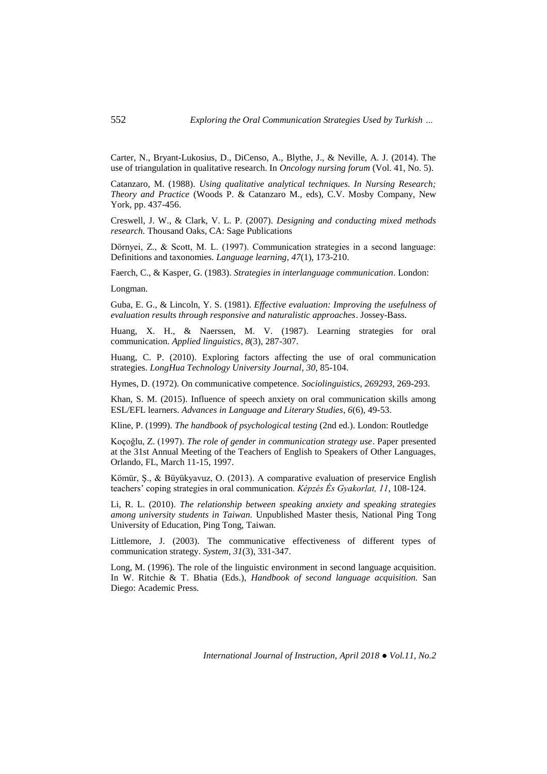Carter, N., Bryant-Lukosius, D., DiCenso, A., Blythe, J., & Neville, A. J. (2014). The use of triangulation in qualitative research. In *Oncology nursing forum* (Vol. 41, No. 5).

Catanzaro, M. (1988). *Using qualitative analytical techniques. In Nursing Research; Theory and Practice* (Woods P. & Catanzaro M., eds), C.V. Mosby Company, New York, pp. 437-456.

Creswell, J. W., & Clark, V. L. P. (2007). *Designing and conducting mixed methods research.* Thousand Oaks, CA: Sage Publications

Dörnyei, Z., & Scott, M. L. (1997). Communication strategies in a second language: Definitions and taxonomies. *Language learning*, *47*(1), 173-210.

Faerch, C., & Kasper, G. (1983). *Strategies in interlanguage communication*. London:

Longman.

Guba, E. G., & Lincoln, Y. S. (1981). *Effective evaluation: Improving the usefulness of evaluation results through responsive and naturalistic approaches*. Jossey-Bass.

Huang, X. H., & Naerssen, M. V. (1987). Learning strategies for oral communication. *Applied linguistics*, *8*(3), 287-307.

Huang, C. P. (2010). Exploring factors affecting the use of oral communication strategies. *LongHua Technology University Journal*, *30*, 85-104.

Hymes, D. (1972). On communicative competence. *Sociolinguistics*, *269293*, 269-293.

Khan, S. M. (2015). Influence of speech anxiety on oral communication skills among ESL/EFL learners. *Advances in Language and Literary Studies*, *6*(6), 49-53.

Kline, P. (1999). *The handbook of psychological testing* (2nd ed.). London: Routledge

Koçoğlu, Z. (1997). *The role of gender in communication strategy use*. Paper presented at the 31st Annual Meeting of the Teachers of English to Speakers of Other Languages, Orlando, FL, March 11-15, 1997.

Kömür, Ş., & Büyükyavuz, O. (2013). A comparative evaluation of preservice English teachers' coping strategies in oral communication. *Képzés És Gyakorlat, 11*, 108-124.

Li, R. L. (2010). *The relationship between speaking anxiety and speaking strategies among university students in Taiwan.* Unpublished Master thesis, National Ping Tong University of Education, Ping Tong, Taiwan.

Littlemore, J. (2003). The communicative effectiveness of different types of communication strategy. *System*, *31*(3), 331-347.

Long, M. (1996). The role of the linguistic environment in second language acquisition. In W. Ritchie & T. Bhatia (Eds.), *Handbook of second language acquisition.* San Diego: Academic Press.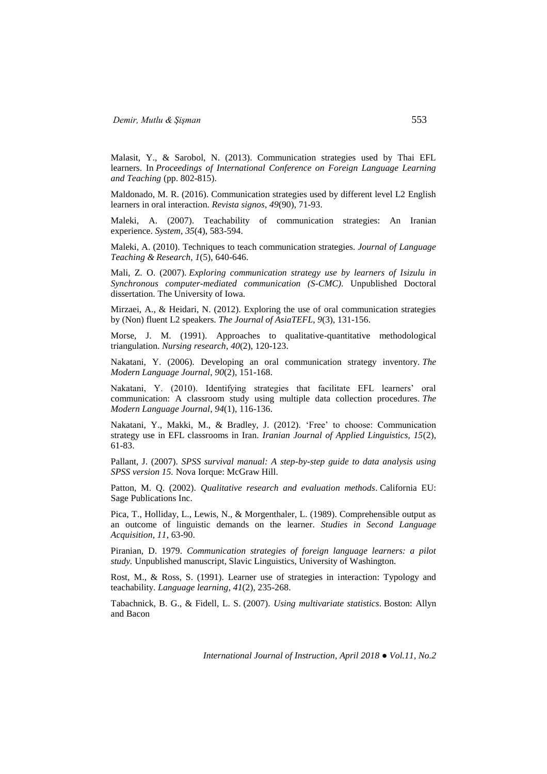Malasit, Y., & Sarobol, N. (2013). Communication strategies used by Thai EFL learners. In *Proceedings of International Conference on Foreign Language Learning and Teaching* (pp. 802-815).

Maldonado, M. R. (2016). Communication strategies used by different level L2 English learners in oral interaction. *Revista signos*, *49*(90), 71-93.

Maleki, A. (2007). Teachability of communication strategies: An Iranian experience. *System*, *35*(4), 583-594.

Maleki, A. (2010). Techniques to teach communication strategies. *Journal of Language Teaching & Research*, *1*(5), 640-646.

Mali, Z. O. (2007). *Exploring communication strategy use by learners of Isizulu in Synchronous computer-mediated communication (S-CMC)*. Unpublished Doctoral dissertation. The University of Iowa.

Mirzaei, A., & Heidari, N. (2012). Exploring the use of oral communication strategies by (Non) fluent L2 speakers. *The Journal of AsiaTEFL*, *9*(3), 131-156.

Morse, J. M. (1991). Approaches to qualitative-quantitative methodological triangulation. *Nursing research*, *40*(2), 120-123.

Nakatani, Y. (2006). Developing an oral communication strategy inventory. *The Modern Language Journal*, *90*(2), 151-168.

Nakatani, Y. (2010). Identifying strategies that facilitate EFL learners' oral communication: A classroom study using multiple data collection procedures. *The Modern Language Journal*, *94*(1), 116-136.

Nakatani, Y., Makki, M., & Bradley, J. (2012). 'Free' to choose: Communication strategy use in EFL classrooms in Iran. *Iranian Journal of Applied Linguistics, 15*(2), 61-83.

Pallant, J. (2007). *SPSS survival manual: A step-by-step guide to data analysis using SPSS version 15.* Nova Iorque: McGraw Hill.

Patton, M. Q. (2002). *Qualitative research and evaluation methods*. California EU: Sage Publications Inc.

Pica, T., Holliday, L., Lewis, N., & Morgenthaler, L. (1989). Comprehensible output as an outcome of linguistic demands on the learner. *Studies in Second Language Acquisition, 11*, 63-90.

Piranian, D. 1979. *Communication strategies of foreign language learners: a pilot study.* Unpublished manuscript, Slavic Linguistics, University of Washington.

Rost, M., & Ross, S. (1991). Learner use of strategies in interaction: Typology and teachability. *Language learning*, *41*(2), 235-268.

Tabachnick, B. G., & Fidell, L. S. (2007). *Using multivariate statistics*. Boston: Allyn and Bacon